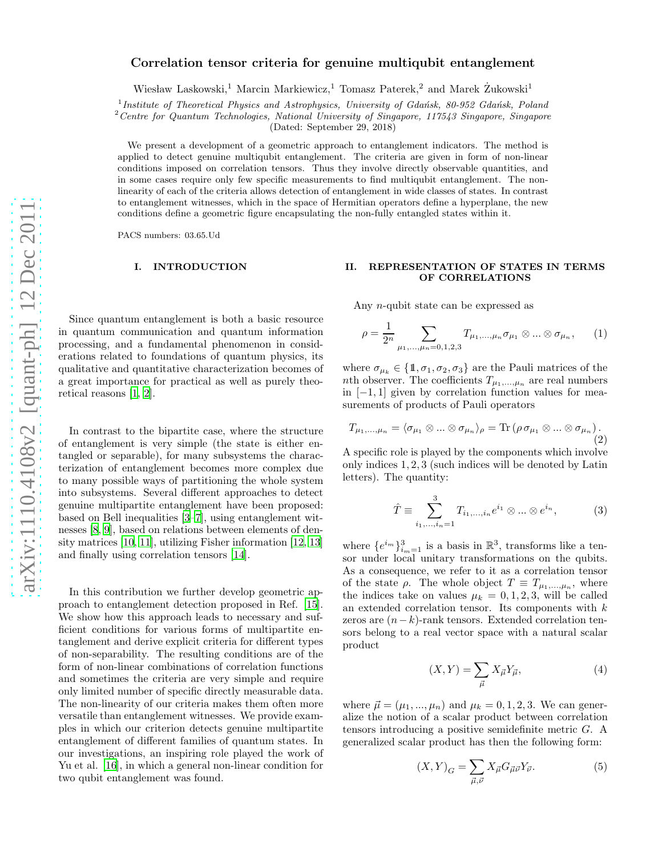# Correlation tensor criteria for genuine multiqubit entanglement

Wiesław Laskowski,<sup>1</sup> Marcin Markiewicz,<sup>1</sup> Tomasz Paterek,<sup>2</sup> and Marek  $\dot{Z}$ ukowski<sup>1</sup>

<sup>1</sup> Institute of Theoretical Physics and Astrophysics, University of Gdańsk, 80-952 Gdańsk, Poland

 $2$  Centre for Quantum Technologies, National University of Singapore, 117543 Singapore, Singapore

(Dated: September 29, 2018)

We present a development of a geometric approach to entanglement indicators. The method is applied to detect genuine multiqubit entanglement. The criteria are given in form of non-linear conditions imposed on correlation tensors. Thus they involve directly observable quantities, and in some cases require only few specific measurements to find multiqubit entanglement. The nonlinearity of each of the criteria allows detection of entanglement in wide classes of states. In contrast to entanglement witnesses, which in the space of Hermitian operators define a hyperplane, the new conditions define a geometric figure encapsulating the non-fully entangled states within it.

PACS numbers: 03.65.Ud

## I. INTRODUCTION

Since quantum entanglement is both a basic resource in quantum communication and quantum information processing, and a fundamental phenomenon in considerations related to foundations of quantum physics, its qualitative and quantitative characterization becomes of a great importance for practical as well as purely theoretical reasons [\[1](#page-7-0), [2](#page-7-1)].

In contrast to the bipartite case, where the structure of entanglement is very simple (the state is either entangled or separable), for many subsystems the characterization of entanglement becomes more complex due to many possible ways of partitioning the whole system into subsystems. Several different approaches to detect genuine multipartite entanglement have been proposed: based on Bell inequalities [\[3](#page-7-2)[–7\]](#page-8-0), using entanglement witnesses [\[8,](#page-8-1) [9\]](#page-8-2), based on relations between elements of density matrices [\[10,](#page-8-3) [11](#page-8-4)], utilizing Fisher information [\[12](#page-8-5), [13](#page-8-6)] and finally using correlation tensors [\[14](#page-8-7)].

In this contribution we further develop geometric approach to entanglement detection proposed in Ref. [\[15\]](#page-8-8). We show how this approach leads to necessary and sufficient conditions for various forms of multipartite entanglement and derive explicit criteria for different types of non-separability. The resulting conditions are of the form of non-linear combinations of correlation functions and sometimes the criteria are very simple and require only limited number of specific directly measurable data. The non-linearity of our criteria makes them often more versatile than entanglement witnesses. We provide examples in which our criterion detects genuine multipartite entanglement of different families of quantum states. In our investigations, an inspiring role played the work of Yu et al. [\[16\]](#page-8-9), in which a general non-linear condition for two qubit entanglement was found.

# II. REPRESENTATION OF STATES IN TERMS OF CORRELATIONS

Any n-qubit state can be expressed as

<span id="page-0-1"></span>
$$
\rho = \frac{1}{2^n} \sum_{\mu_1, ..., \mu_n = 0, 1, 2, 3} T_{\mu_1, ..., \mu_n} \sigma_{\mu_1} \otimes ... \otimes \sigma_{\mu_n}, \qquad (1)
$$

where  $\sigma_{\mu_k} \in \{1, \sigma_1, \sigma_2, \sigma_3\}$  are the Pauli matrices of the nth observer. The coefficients  $T_{\mu_1,\dots,\mu_n}$  are real numbers in  $[-1, 1]$  given by correlation function values for measurements of products of Pauli operators

$$
T_{\mu_1,\dots,\mu_n} = \langle \sigma_{\mu_1} \otimes \dots \otimes \sigma_{\mu_n} \rangle_{\rho} = \text{Tr}\left(\rho \sigma_{\mu_1} \otimes \dots \otimes \sigma_{\mu_n}\right).
$$
\n(2)

A specific role is played by the components which involve only indices 1, 2, 3 (such indices will be denoted by Latin letters). The quantity:

$$
\hat{T} \equiv \sum_{i_1, ..., i_n=1}^{3} T_{i_1, ..., i_n} e^{i_1} \otimes ... \otimes e^{i_n},
$$
 (3)

where  $\{e^{i_m}\}_{i_m=1}^3$  is a basis in  $\mathbb{R}^3$ , transforms like a tensor under local unitary transformations on the qubits. As a consequence, we refer to it as a correlation tensor of the state  $\rho$ . The whole object  $T \equiv T_{\mu_1,\dots,\mu_n}$ , where the indices take on values  $\mu_k = 0, 1, 2, 3$ , will be called an extended correlation tensor. Its components with  $k$ zeros are  $(n-k)$ -rank tensors. Extended correlation tensors belong to a real vector space with a natural scalar product

$$
(X,Y) = \sum_{\vec{\mu}} X_{\vec{\mu}} Y_{\vec{\mu}},\tag{4}
$$

where  $\vec{\mu} = (\mu_1, ..., \mu_n)$  and  $\mu_k = 0, 1, 2, 3$ . We can generalize the notion of a scalar product between correlation tensors introducing a positive semidefinite metric G. A generalized scalar product has then the following form:

<span id="page-0-0"></span>
$$
(X,Y)_G = \sum_{\vec{\mu},\vec{\nu}} X_{\vec{\mu}} G_{\vec{\mu}\vec{\nu}} Y_{\vec{\nu}}.
$$
 (5)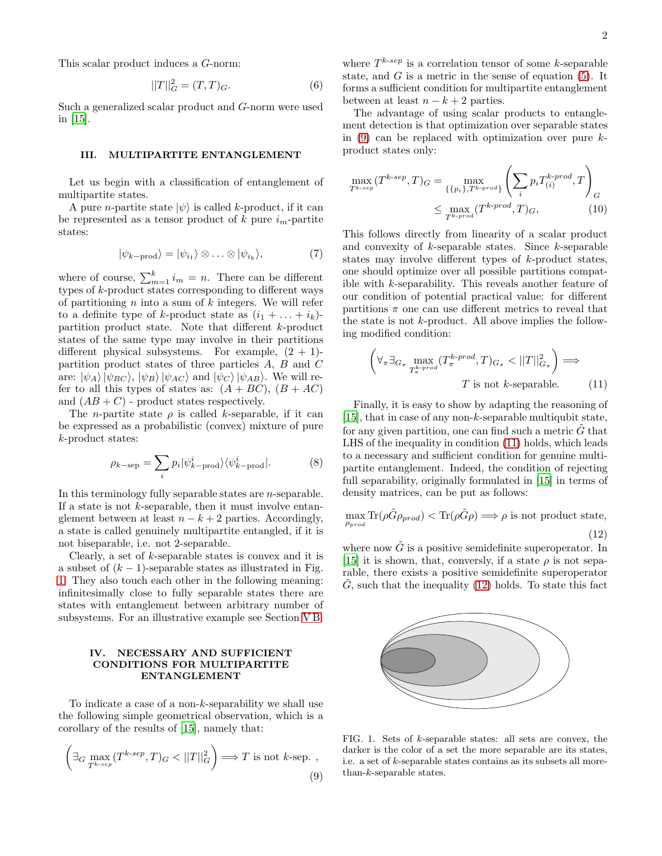This scalar product induces a G-norm:

$$
||T||_G^2 = (T, T)_G. \t\t(6)
$$

Such a generalized scalar product and G-norm were used in [\[15](#page-8-8)].

## III. MULTIPARTITE ENTANGLEMENT

Let us begin with a classification of entanglement of multipartite states.

A pure *n*-partite state  $|\psi\rangle$  is called k-product, if it can be represented as a tensor product of k pure  $i_m$ -partite states:

$$
|\psi_{k-\text{prod}}\rangle = |\psi_{i_1}\rangle \otimes \ldots \otimes |\psi_{i_k}\rangle, \tag{7}
$$

where of course,  $\sum_{m=1}^{k} i_m = n$ . There can be different types of k-product states corresponding to different ways of partitioning  $n$  into a sum of  $k$  integers. We will refer to a definite type of k-product state as  $(i_1 + \ldots + i_k)$ partition product state. Note that different k-product states of the same type may involve in their partitions different physical subsystems. For example,  $(2 + 1)$ partition product states of three particles A, B and C are:  $|\psi_A\rangle |\psi_{BC}\rangle$ ,  $|\psi_B\rangle |\psi_{AC}\rangle$  and  $|\psi_C\rangle |\psi_{AB}\rangle$ . We will refer to all this types of states as:  $(A + BC)$ ,  $(B + AC)$ and  $(AB+C)$  - product states respectively.

The *n*-partite state  $\rho$  is called *k*-separable, if it can be expressed as a probabilistic (convex) mixture of pure k-product states:

$$
\rho_{k-\text{sep}} = \sum_{i} p_i |\psi_{k-\text{prod}}^i\rangle\langle\psi_{k-\text{prod}}^i|.\tag{8}
$$

In this terminology fully separable states are n-separable. If a state is not  $k$ -separable, then it must involve entanglement between at least  $n - k + 2$  parties. Accordingly, a state is called genuinely multipartite entangled, if it is not biseparable, i.e. not 2-separable.

Clearly, a set of k-separable states is convex and it is a subset of  $(k-1)$ -separable states as illustrated in Fig. [1.](#page-1-0) They also touch each other in the following meaning: infinitesimally close to fully separable states there are states with entanglement between arbitrary number of subsystems. For an illustrative example see Section [V B.](#page-4-0)

## IV. NECESSARY AND SUFFICIENT CONDITIONS FOR MULTIPARTITE ENTANGLEMENT

To indicate a case of a non-k-separability we shall use the following simple geometrical observation, which is a corollary of the results of [\[15\]](#page-8-8), namely that:

<span id="page-1-1"></span>
$$
\left(\exists_{G} \max_{T^{k-sep}} (T^{k-sep}, T)_G < ||T||_G^2\right) \Longrightarrow T \text{ is not } k \text{-sep.},\tag{9}
$$

where  $T^{k-sep}$  is a correlation tensor of some k-separable state, and  $G$  is a metric in the sense of equation  $(5)$ . It forms a sufficient condition for multipartite entanglement between at least  $n - k + 2$  parties.

The advantage of using scalar products to entanglement detection is that optimization over separable states in  $(9)$  can be replaced with optimization over pure kproduct states only:

$$
\max_{T^{k-sep}} (T^{k-sep}, T)_G = \max_{\{\{p_i\}, T^{k-prod}\}} \left( \sum_i p_i T_{(i)}^{k-prod}, T \right)_G
$$
\n
$$
\leq \max_{T^{k-prod}} (T^{k-prod}, T)_G, \tag{10}
$$

This follows directly from linearity of a scalar product and convexity of  $k$ -separable states. Since  $k$ -separable states may involve different types of k-product states, one should optimize over all possible partitions compatible with k-separability. This reveals another feature of our condition of potential practical value: for different partitions  $\pi$  one can use different metrics to reveal that the state is not  $k$ -product. All above implies the following modified condition:

<span id="page-1-2"></span>
$$
\left(\forall_{\pi} \exists_{G_{\pi}} \max_{T_{\pi}^{k\text{-prod}}}(T_{\pi}^{k\text{-prod}}, T)_{G_{\pi}} < ||T||_{G_{\pi}}^2\right) \Longrightarrow
$$
\n
$$
T \text{ is not } k\text{-separable.} \tag{11}
$$

Finally, it is easy to show by adapting the reasoning of [\[15\]](#page-8-8), that in case of any non- $k$ -separable multiqubit state, for any given partition, one can find such a metric  $G$  that LHS of the inequality in condition [\(11\)](#page-1-2) holds, which leads to a necessary and sufficient condition for genuine multipartite entanglement. Indeed, the condition of rejecting full separability, originally formulated in [\[15\]](#page-8-8) in terms of density matrices, can be put as follows:

<span id="page-1-3"></span>
$$
\max_{\rho_{prod}} \text{Tr}(\rho \tilde{G} \rho_{prod}) < \text{Tr}(\rho \tilde{G} \rho) \Longrightarrow \rho \text{ is not product state},\tag{12}
$$

where now  $\tilde{G}$  is a positive semidefinite superoperator. In [\[15\]](#page-8-8) it is shown, that, conversly, if a state  $\rho$  is not separable, there exists a positive semidefinite superoperator  $\tilde{G}$ , such that the inequality [\(12\)](#page-1-3) holds. To state this fact



<span id="page-1-0"></span>FIG. 1. Sets of k-separable states: all sets are convex, the darker is the color of a set the more separable are its states, i.e. a set of k-separable states contains as its subsets all morethan-k-separable states.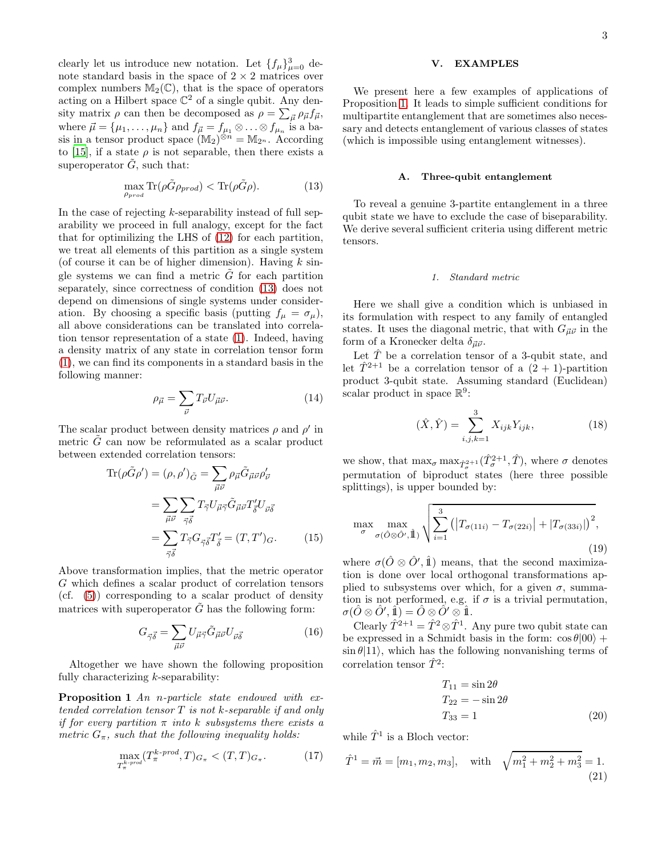clearly let us introduce new notation. Let  $\{f_{\mu}\}_{\mu=0}^3$  denote standard basis in the space of  $2 \times 2$  matrices over complex numbers  $M_2(\mathbb{C})$ , that is the space of operators acting on a Hilbert space  $\mathbb{C}^2$  of a single qubit. Any density matrix  $\rho$  can then be decomposed as  $\rho = \sum_{\vec{\mu}} \rho_{\vec{\mu}} f_{\vec{\mu}},$ where  $\vec{\mu} = {\mu_1, \ldots, \mu_n}$  and  $f_{\vec{\mu}} = f_{\mu_1} \otimes \ldots \otimes f_{\mu_n}$  is a basis in a tensor product space  $(M_2)^{\otimes n} = M_{2^n}$ . According to [\[15](#page-8-8)], if a state  $\rho$  is not separable, then there exists a superoperator  $\tilde{G}$ , such that:

<span id="page-2-0"></span>
$$
\max_{\rho_{prod}} \text{Tr}(\rho \tilde{G} \rho_{prod}) < \text{Tr}(\rho \tilde{G} \rho). \tag{13}
$$

In the case of rejecting  $k$ -separability instead of full separability we proceed in full analogy, except for the fact that for optimilizing the LHS of [\(12\)](#page-1-3) for each partition, we treat all elements of this partition as a single system (of course it can be of higher dimension). Having  $k$  single systems we can find a metric  $\tilde{G}$  for each partition separately, since correctness of condition [\(13\)](#page-2-0) does not depend on dimensions of single systems under consideration. By choosing a specific basis (putting  $f_{\mu} = \sigma_{\mu}$ ), all above considerations can be translated into correlation tensor representation of a state [\(1\)](#page-0-1). Indeed, having a density matrix of any state in correlation tensor form [\(1\)](#page-0-1), we can find its components in a standard basis in the following manner:

$$
\rho_{\vec{\mu}} = \sum_{\vec{\nu}} T_{\vec{\nu}} U_{\vec{\mu}\vec{\nu}}.\tag{14}
$$

The scalar product between density matrices  $\rho$  and  $\rho'$  in metric  $\tilde{G}$  can now be reformulated as a scalar product between extended correlation tensors:

$$
\operatorname{Tr}(\rho \tilde{G} \rho') = (\rho, \rho')_{\tilde{G}} = \sum_{\vec{\mu}\vec{\nu}} \rho_{\vec{\mu}} \tilde{G}_{\vec{\mu}\vec{\nu}} \rho'_{\vec{\nu}}
$$

$$
= \sum_{\vec{\mu}\vec{\nu}} \sum_{\vec{\gamma}\vec{\delta}} T_{\vec{\gamma}} U_{\vec{\mu}\vec{\gamma}} \tilde{G}_{\vec{\mu}\vec{\nu}} T'_{\vec{\delta}} U_{\vec{\nu}\vec{\delta}}
$$

$$
= \sum_{\vec{\gamma}\vec{\delta}} T_{\vec{\gamma}} G_{\vec{\gamma}\vec{\delta}} T'_{\vec{\delta}} = (T, T')_G. \tag{15}
$$

Above transformation implies, that the metric operator G which defines a scalar product of correlation tensors (cf. [\(5\)](#page-0-0)) corresponding to a scalar product of density matrices with superoperator  $\tilde{G}$  has the following form:

$$
G_{\vec{\gamma}\vec{\delta}} = \sum_{\vec{\mu}\vec{\nu}} U_{\vec{\mu}\vec{\gamma}} \tilde{G}_{\vec{\mu}\vec{\nu}} U_{\vec{\nu}\vec{\delta}} \tag{16}
$$

Altogether we have shown the following proposition fully characterizing  $k$ -separability:

Proposition 1 *An* n*-particle state endowed with extended correlation tensor* T *is not* k*-separable if and only if for every partition* π *into* k *subsystems there exists a metric*  $G_{\pi}$ *, such that the following inequality holds:* 

<span id="page-2-1"></span>
$$
\max_{T_{\pi}^k\text{-}prod}(T_{\pi}^{k\text{-}prod},T)_{G_{\pi}} < (T,T)_{G_{\pi}}.\tag{17}
$$

# V. EXAMPLES

We present here a few examples of applications of Proposition [1.](#page-2-1) It leads to simple sufficient conditions for multipartite entanglement that are sometimes also necessary and detects entanglement of various classes of states (which is impossible using entanglement witnesses).

# A. Three-qubit entanglement

To reveal a genuine 3-partite entanglement in a three qubit state we have to exclude the case of biseparability. We derive several sufficient criteria using different metric tensors.

### 1. Standard metric

Here we shall give a condition which is unbiased in its formulation with respect to any family of entangled states. It uses the diagonal metric, that with  $G_{\vec{\mu}\vec{\nu}}$  in the form of a Kronecker delta  $\delta_{\vec{\mu}\vec{\nu}}$ .

Let  $\hat{T}$  be a correlation tensor of a 3-qubit state, and let  $\hat{T}^{2+1}$  be a correlation tensor of a  $(2 + 1)$ -partition product 3-qubit state. Assuming standard (Euclidean) scalar product in space  $\mathbb{R}^9$ :

$$
(\hat{X}, \hat{Y}) = \sum_{i,j,k=1}^{3} X_{ijk} Y_{ijk},
$$
\n(18)

we show, that  $\max_{\sigma} \max_{\hat{T}_{\sigma}^{2+1}} (\hat{T}_{\sigma}^{2+1}, \hat{T})$ , where  $\sigma$  denotes permutation of biproduct states (here three possible splittings), is upper bounded by:

<span id="page-2-2"></span>
$$
\max_{\sigma} \max_{\sigma(\hat{O}\otimes\hat{O}',\hat{\mathbb{1}})} \sqrt{\sum_{i=1}^{3} (|T_{\sigma(11i)} - T_{\sigma(22i)}| + |T_{\sigma(33i)}|)^2},
$$
\n(19)

where  $\sigma(\hat{O} \otimes \hat{O}', \hat{\mathbb{1}})$  means, that the second maximization is done over local orthogonal transformations applied to subsystems over which, for a given  $\sigma$ , summation is not performed, e.g. if  $\sigma$  is a trivial permutation,  $\sigma(\hat{O}\otimes\hat{O}',\hat{\mathbb{1}})=\hat{O}\otimes\hat{O}'\otimes\hat{\mathbb{1}}.$ 

Clearly  $\hat{T}^{2+1} = \hat{T}^2 \otimes \hat{T}^1$ . Any pure two qubit state can be expressed in a Schmidt basis in the form:  $\cos \theta |00\rangle +$  $\sin \theta$ |11), which has the following nonvanishing terms of correlation tensor  $\hat{T}^2$ :

<span id="page-2-3"></span>
$$
T_{11} = \sin 2\theta
$$
  
\n
$$
T_{22} = -\sin 2\theta
$$
  
\n
$$
T_{33} = 1
$$
\n(20)

while  $\hat{T}^1$  is a Bloch vector:

$$
\hat{T}^1 = \vec{m} = [m_1, m_2, m_3], \quad \text{with} \quad \sqrt{m_1^2 + m_2^2 + m_3^2} = 1.
$$
\n(21)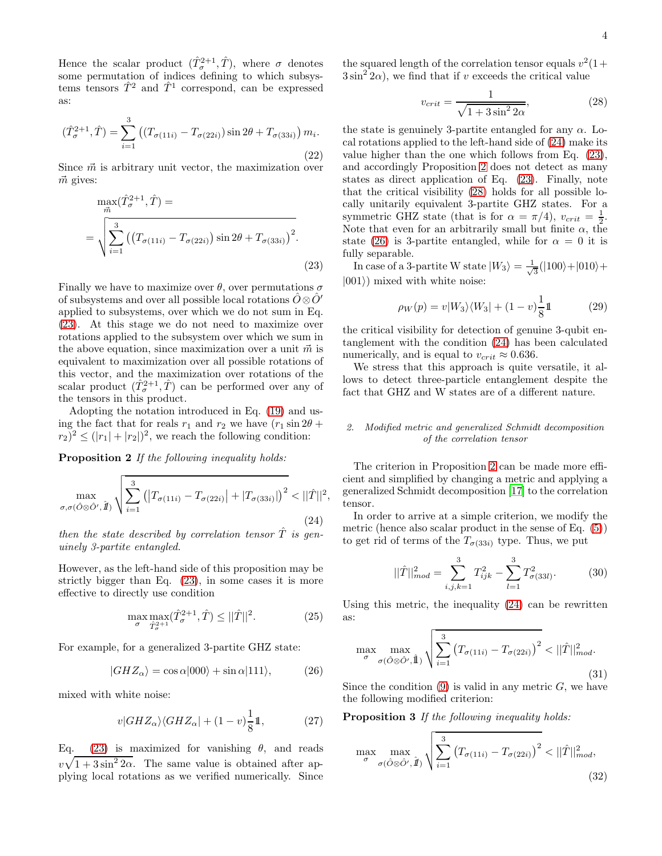Hence the scalar product  $(\hat{T}_{\sigma}^{2+1}, \hat{T})$ , where  $\sigma$  denotes some permutation of indices defining to which subsystems tensors  $\hat{T}^2$  and  $\hat{T}^1$  correspond, can be expressed as:

$$
(\hat{T}_{\sigma}^{2+1}, \hat{T}) = \sum_{i=1}^{3} \left( (T_{\sigma(11i)} - T_{\sigma(22i)}) \sin 2\theta + T_{\sigma(33i)} \right) m_i.
$$
\n(22)

Since  $\vec{m}$  is arbitrary unit vector, the maximization over  $\vec{m}$  gives:

<span id="page-3-0"></span>
$$
\max_{\vec{m}}(\hat{T}_{\sigma}^{2+1}, \hat{T}) =
$$
\n
$$
= \sqrt{\sum_{i=1}^{3} ((T_{\sigma(11i)} - T_{\sigma(22i)}) \sin 2\theta + T_{\sigma(33i)})^2}.
$$
\n(23)

Finally we have to maximize over  $\theta$ , over permutations  $\sigma$ of subsystems and over all possible local rotations  $\hat{O}\otimes \hat{O}'$ applied to subsystems, over which we do not sum in Eq. [\(23\)](#page-3-0). At this stage we do not need to maximize over rotations applied to the subsystem over which we sum in the above equation, since maximization over a unit  $\vec{m}$  is equivalent to maximization over all possible rotations of this vector, and the maximization over rotations of the scalar product  $(\hat{T}_{\sigma}^{2+1}, \hat{T})$  can be performed over any of the tensors in this product.

Adopting the notation introduced in Eq. [\(19\)](#page-2-2) and using the fact that for reals  $r_1$  and  $r_2$  we have  $(r_1 \sin 2\theta +$  $(r_2)^2 \le (|r_1| + |r_2|)^2$ , we reach the following condition:

Proposition 2 *If the following inequality holds:*

<span id="page-3-1"></span>
$$
\max_{\sigma,\sigma(\hat{O}\otimes\hat{O}',\hat{\mathcal{U}})}\sqrt{\sum_{i=1}^{3} \left( \left|T_{\sigma(11i)} - T_{\sigma(22i)}\right| + \left|T_{\sigma(33i)}\right|\right)^2} < ||\hat{T}||^2,
$$
\n(24)

*then the state described by correlation tensor*  $\hat{T}$  *is genuinely 3-partite entangled.*

However, as the left-hand side of this proposition may be strictly bigger than Eq. [\(23\)](#page-3-0), in some cases it is more effective to directly use condition

$$
\max_{\sigma} \max_{\hat{T}_{\sigma}^{2+1}} (\hat{T}_{\sigma}^{2+1}, \hat{T}) \le ||\hat{T}||^2. \tag{25}
$$

For example, for a generalized 3-partite GHZ state:

<span id="page-3-3"></span>
$$
|GHZ_{\alpha}\rangle = \cos\alpha|000\rangle + \sin\alpha|111\rangle, \qquad (26)
$$

mixed with white noise:

$$
v|GHZ_{\alpha}\rangle\langle GHZ_{\alpha}|+(1-v)\frac{1}{8}\mathbb{1},\tag{27}
$$

Eq. [\(23\)](#page-3-0) is maximized for vanishing  $\theta$ , and reads  $v\sqrt{1+3\sin^2 2\alpha}$ . The same value is obtained after applying local rotations as we verified numerically. Since the squared length of the correlation tensor equals  $v^2(1+)$  $3\sin^2 2\alpha$ , we find that if v exceeds the critical value

<span id="page-3-2"></span>
$$
v_{crit} = \frac{1}{\sqrt{1 + 3\sin^2 2\alpha}},
$$
\n(28)

the state is genuinely 3-partite entangled for any  $\alpha$ . Local rotations applied to the left-hand side of [\(24\)](#page-3-1) make its value higher than the one which follows from Eq. [\(23\)](#page-3-0), and accordingly Proposition [2](#page-3-1) does not detect as many states as direct application of Eq. [\(23\)](#page-3-0). Finally, note that the critical visibility [\(28\)](#page-3-2) holds for all possible locally unitarily equivalent 3-partite GHZ states. For a symmetric GHZ state (that is for  $\alpha = \pi/4$ ),  $v_{crit} = \frac{1}{2}$ . Note that even for an arbitrarily small but finite  $\alpha$ , the state [\(26\)](#page-3-3) is 3-partite entangled, while for  $\alpha = 0$  it is fully separable.

In case of a 3-partite W state  $|W_3\rangle = \frac{1}{\sqrt{2}}$  $\frac{1}{3}(|100\rangle+|010\rangle+$  $|001\rangle)$  mixed with white noise:

$$
\rho_W(p) = v|W_3\rangle\langle W_3| + (1 - v)\frac{1}{8}\mathbb{1}
$$
 (29)

the critical visibility for detection of genuine 3-qubit entanglement with the condition [\(24\)](#page-3-1) has been calculated numerically, and is equal to  $v_{crit} \approx 0.636$ .

We stress that this approach is quite versatile, it allows to detect three-particle entanglement despite the fact that GHZ and W states are of a different nature.

### 2. Modified metric and generalized Schmidt decomposition of the correlation tensor

The criterion in Proposition [2](#page-3-1) can be made more efficient and simplified by changing a metric and applying a generalized Schmidt decomposition [\[17\]](#page-8-10) to the correlation tensor.

In order to arrive at a simple criterion, we modify the metric (hence also scalar product in the sense of Eq. [\(5\)](#page-0-0)) to get rid of terms of the  $T_{\sigma(33i)}$  type. Thus, we put

<span id="page-3-5"></span>
$$
||\hat{T}||_{mod}^2 = \sum_{i,j,k=1}^3 T_{ijk}^2 - \sum_{l=1}^3 T_{\sigma(33l)}^2.
$$
 (30)

Using this metric, the inequality [\(24\)](#page-3-1) can be rewritten as:

$$
\max_{\sigma} \max_{\sigma(\hat{O}\otimes\hat{O}',\hat{\mathbb{1}})} \sqrt{\sum_{i=1}^{3} (T_{\sigma(11i)} - T_{\sigma(22i)})^2} < ||\hat{T}||_{mod}^2.
$$
\n(31)

Since the condition  $(9)$  is valid in any metric  $G$ , we have the following modified criterion:

Proposition 3 *If the following inequality holds:*

<span id="page-3-4"></span>
$$
\max_{\sigma} \max_{\sigma(\hat{O}\otimes\hat{O}',\hat{\mathcal{I}})} \sqrt{\sum_{i=1}^{3} (T_{\sigma(11i)} - T_{\sigma(22i)})^2} < ||\hat{T}||_{mod}^2,
$$
\n(32)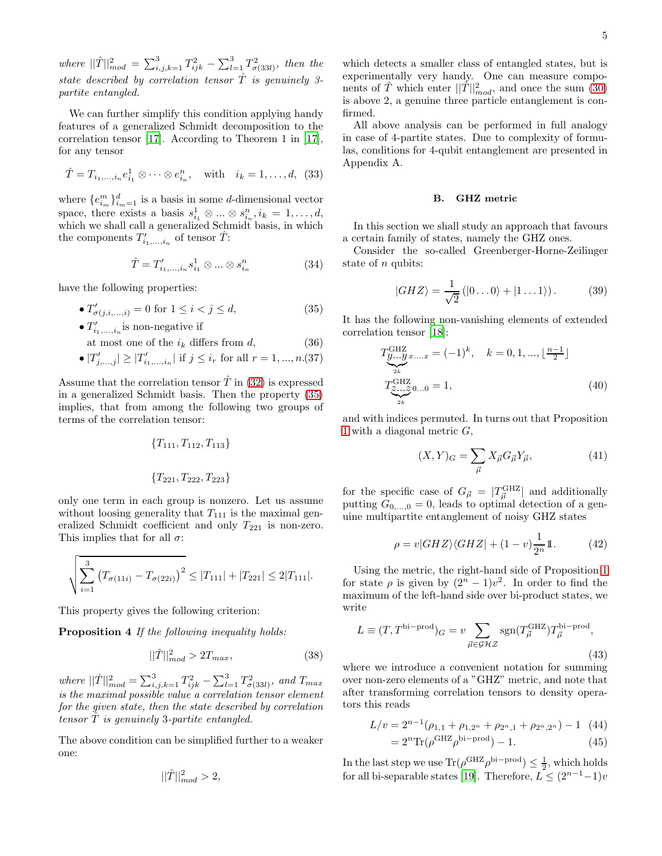where  $||\hat{T}||_{mod}^2 = \sum_{i,j,k=1}^3 T_{ijk}^2 - \sum_{l=1}^3 T_{\sigma(33l)}^2$ , then the *state described by correlation tensor* Tˆ *is genuinely 3 partite entangled.*

We can further simplify this condition applying handy features of a generalized Schmidt decomposition to the correlation tensor [\[17](#page-8-10)]. According to Theorem 1 in [\[17\]](#page-8-10), for any tensor

$$
\hat{T} = T_{i_1,...,i_n} e_{i_1}^1 \otimes \cdots \otimes e_{i_n}^n
$$
, with  $i_k = 1,...,d$ , (33)

where  ${e_{i_m}^m}_{i_m=1}^d$  is a basis in some *d*-dimensional vector space, there exists a basis  $s_{i_1}^1 \otimes \ldots \otimes s_{i_n}^n, i_k = 1, \ldots, d$ , which we shall call a generalized Schmidt basis, in which the components  $T'_{i_1,\ldots,i_n}$  of tensor  $\hat{T}$ :

$$
\hat{T} = T'_{i_1,\dots,i_n} s^1_{i_1} \otimes \dots \otimes s^n_{i_n}
$$
 (34)

have the following properties:

<span id="page-4-1"></span>• 
$$
T'_{\sigma(j,i,...,i)} = 0
$$
 for  $1 \le i < j \le d$ , (35)

•  $T'_{i_1,\ldots,i_n}$  is non-negative if at most one of the  $i_k$  differs from d, (36)

• 
$$
|T'_{j,...,j}| \ge |T'_{i_1,...,i_n}|
$$
 if  $j \le i_r$  for all  $r = 1, ..., n.(37)$ 

Assume that the correlation tensor  $\hat{T}$  in [\(32\)](#page-3-4) is expressed in a generalized Schmidt basis. Then the property [\(35\)](#page-4-1) implies, that from among the following two groups of terms of the correlation tensor:

$$
{T_{111}, T_{112}, T_{113}}
$$
  

$$
{T_{221}, T_{222}, T_{223}}
$$

only one term in each group is nonzero. Let us assume without loosing generality that  $T_{111}$  is the maximal generalized Schmidt coefficient and only  $T_{221}$  is non-zero. This implies that for all  $\sigma$ :

$$
\sqrt{\sum_{i=1}^{3} (T_{\sigma(11i)} - T_{\sigma(22i)})^2} \le |T_{111}| + |T_{221}| \le 2|T_{111}|.
$$

This property gives the following criterion:

Proposition 4 *If the following inequality holds:*

$$
||\hat{T}||_{mod}^2 > 2T_{max},\tag{38}
$$

*where*  $||\hat{T}||_{mod}^2 = \sum_{i,j,k=1}^3 T_{ijk}^2 - \sum_{l=1}^3 T_{\sigma(33l)}^2$ *, and*  $T_{max}$ *is the maximal possible value a correlation tensor element for the given state, then the state described by correlation tensor* Tˆ *is genuinely* 3*-partite entangled.*

The above condition can be simplified further to a weaker one:

$$
||\hat{T}||_{mod}^2 > 2,
$$

which detects a smaller class of entangled states, but is experimentally very handy. One can measure components of  $\hat{T}$  which enter  $||\hat{T}||_{mod}^2$ , and once the sum [\(30\)](#page-3-5) is above 2, a genuine three particle entanglement is confirmed.

All above analysis can be performed in full analogy in case of 4-partite states. Due to complexity of formulas, conditions for 4-qubit entanglement are presented in Appendix A.

#### <span id="page-4-0"></span>B. GHZ metric

In this section we shall study an approach that favours a certain family of states, namely the GHZ ones.

Consider the so-called Greenberger-Horne-Zeilinger state of *n* qubits:

$$
|GHZ\rangle = \frac{1}{\sqrt{2}} (|0...0\rangle + |1...1\rangle). \tag{39}
$$

It has the following non-vanishing elements of extended correlation tensor [\[18\]](#page-8-11):

$$
T_{\underbrace{y...y}_{2k}}^{\text{GHZ}} x_{\dots x} = (-1)^k, \quad k = 0, 1, ..., \lfloor \frac{n-1}{2} \rfloor
$$
  

$$
T_{\underbrace{z...z}_{2k}}^{\text{GHZ}} 0...0 = 1,
$$
 (40)

and with indices permuted. In turns out that Proposition [1](#page-2-1) with a diagonal metric  $G$ ,

$$
(X,Y)_G = \sum_{\vec{\mu}} X_{\vec{\mu}} G_{\vec{\mu}} Y_{\vec{\mu}},\tag{41}
$$

for the specific case of  $G_{\vec{\mu}} = |T^{\text{GHZ}}_{\vec{\mu}}|$  and additionally putting  $G_{0,...,0} = 0$ , leads to optimal detection of a genuine multipartite entanglement of noisy GHZ states

$$
\rho = v|GHZ\rangle\langle GHZ| + (1 - v)\frac{1}{2^n}\mathbb{1}.\tag{42}
$$

Using the metric, the right-hand side of Proposition [1](#page-2-1) for state  $\rho$  is given by  $(2^n - 1)v^2$ . In order to find the maximum of the left-hand side over bi-product states, we write

$$
L \equiv (T, T^{\text{bi-prod}})G = v \sum_{\vec{\mu} \in \mathcal{GHZ}} \text{sgn}(T^{\text{GHZ}}_{\vec{\mu}}) T^{\text{bi-prod}}_{\vec{\mu}},
$$
\n(43)

where we introduce a convenient notation for summing over non-zero elements of a "GHZ" metric, and note that after transforming correlation tensors to density operators this reads

$$
L/v = 2^{n-1}(\rho_{1,1} + \rho_{1,2^n} + \rho_{2^n,1} + \rho_{2^n,2^n}) - 1
$$
 (44)

$$
=2^{n}\text{Tr}(\rho^{\text{GHZ}}\rho^{\text{bi-prod}})-1.\tag{45}
$$

In the last step we use  $\text{Tr}(\rho^{\text{GHZ}}\rho^{\text{bi-prod}}) \leq \frac{1}{2}$ , which holds for all bi-separable states [\[19\]](#page-8-12). Therefore,  $L \leq (2^{n-1}-1)v$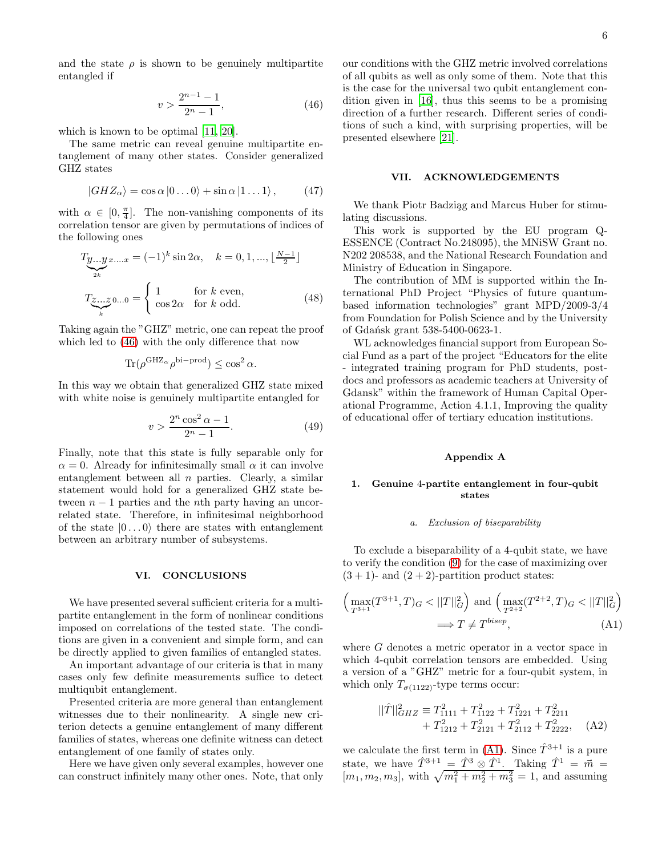and the state  $\rho$  is shown to be genuinely multipartite entangled if

<span id="page-5-0"></span>
$$
v > \frac{2^{n-1} - 1}{2^n - 1},\tag{46}
$$

which is known to be optimal [\[11](#page-8-4), [20](#page-8-13)].

The same metric can reveal genuine multipartite entanglement of many other states. Consider generalized GHZ states

$$
|GHZ_{\alpha}\rangle = \cos\alpha\,|0\ldots0\rangle + \sin\alpha\,|1\ldots1\rangle\,,\qquad(47)
$$

with  $\alpha \in [0, \frac{\pi}{4}]$ . The non-vanishing components of its correlation tensor are given by permutations of indices of the following ones

$$
T_{\underbrace{y...y}_{2k}}x...x = (-1)^k \sin 2\alpha, \quad k = 0, 1, ..., \lfloor \frac{N-1}{2} \rfloor
$$

$$
T_{\underbrace{z...z}_{k}}0...0 = \begin{cases} 1 & \text{for } k \text{ even,} \\ \cos 2\alpha & \text{for } k \text{ odd.} \end{cases}
$$
(48)

Taking again the "GHZ" metric, one can repeat the proof which led to [\(46\)](#page-5-0) with the only difference that now

$$
\text{Tr}(\rho^{\text{GHZ}_{\alpha}}\rho^{\text{bi-prod}}) \le \cos^2 \alpha.
$$

In this way we obtain that generalized GHZ state mixed with white noise is genuinely multipartite entangled for

$$
v > \frac{2^n \cos^2 \alpha - 1}{2^n - 1}.
$$
 (49)

Finally, note that this state is fully separable only for  $\alpha = 0$ . Already for infinitesimally small  $\alpha$  it can involve entanglement between all  $n$  parties. Clearly, a similar statement would hold for a generalized GHZ state between  $n-1$  parties and the *n*th party having an uncorrelated state. Therefore, in infinitesimal neighborhood of the state  $|0...0\rangle$  there are states with entanglement between an arbitrary number of subsystems.

#### VI. CONCLUSIONS

We have presented several sufficient criteria for a multipartite entanglement in the form of nonlinear conditions imposed on correlations of the tested state. The conditions are given in a convenient and simple form, and can be directly applied to given families of entangled states.

An important advantage of our criteria is that in many cases only few definite measurements suffice to detect multiqubit entanglement.

Presented criteria are more general than entanglement witnesses due to their nonlinearity. A single new criterion detects a genuine entanglement of many different families of states, whereas one definite witness can detect entanglement of one family of states only.

Here we have given only several examples, however one can construct infinitely many other ones. Note, that only our conditions with the GHZ metric involved correlations of all qubits as well as only some of them. Note that this is the case for the universal two qubit entanglement condition given in [\[16](#page-8-9)], thus this seems to be a promising direction of a further research. Different series of conditions of such a kind, with surprising properties, will be presented elsewhere [\[21\]](#page-8-14).

## VII. ACKNOWLEDGEMENTS

We thank Piotr Badziag and Marcus Huber for stimulating discussions.

This work is supported by the EU program Q-ESSENCE (Contract No.248095), the MNiSW Grant no. N202 208538, and the National Research Foundation and Ministry of Education in Singapore.

The contribution of MM is supported within the International PhD Project "Physics of future quantumbased information technologies" grant MPD/2009-3/4 from Foundation for Polish Science and by the University of Gdańsk grant 538-5400-0623-1.

WL acknowledges financial support from European Social Fund as a part of the project "Educators for the elite - integrated training program for PhD students, postdocs and professors as academic teachers at University of Gdansk" within the framework of Human Capital Operational Programme, Action 4.1.1, Improving the quality of educational offer of tertiary education institutions.

#### Appendix A

# 1. Genuine 4-partite entanglement in four-qubit states

### a. Exclusion of biseparability

To exclude a biseparability of a 4-qubit state, we have to verify the condition [\(9\)](#page-1-1) for the case of maximizing over  $(3 + 1)$ - and  $(2 + 2)$ -partition product states:

<span id="page-5-1"></span>
$$
\left(\max_{T^{3+1}}(T^{3+1},T)_G < ||T||_G^2\right) \text{ and } \left(\max_{T^{2+2}}(T^{2+2},T)_G < ||T||_G^2\right) \implies T \neq T^{bisep},\tag{A1}
$$

where G denotes a metric operator in a vector space in which 4-qubit correlation tensors are embedded. Using a version of a "GHZ" metric for a four-qubit system, in which only  $T_{\sigma(1122)}$ -type terms occur:

$$
||\hat{T}||_{GHZ}^2 \equiv T_{1111}^2 + T_{1122}^2 + T_{1221}^2 + T_{2211}^2
$$
  
+  $T_{1212}^2 + T_{2121}^2 + T_{2112}^2 + T_{2222}^2$ , (A2)

we calculate the first term in [\(A1\)](#page-5-1). Since  $\hat{T}^{3+1}$  is a pure state, we have  $\hat{T}^{3+1} = \hat{T}^3 \otimes \hat{T}^1$ . Taking  $\hat{T}^1 = \vec{m}$ .  $[m_1, m_2, m_3]$ , with  $\sqrt{m_1^2 + m_2^2 + m_3^2} = 1$ , and assuming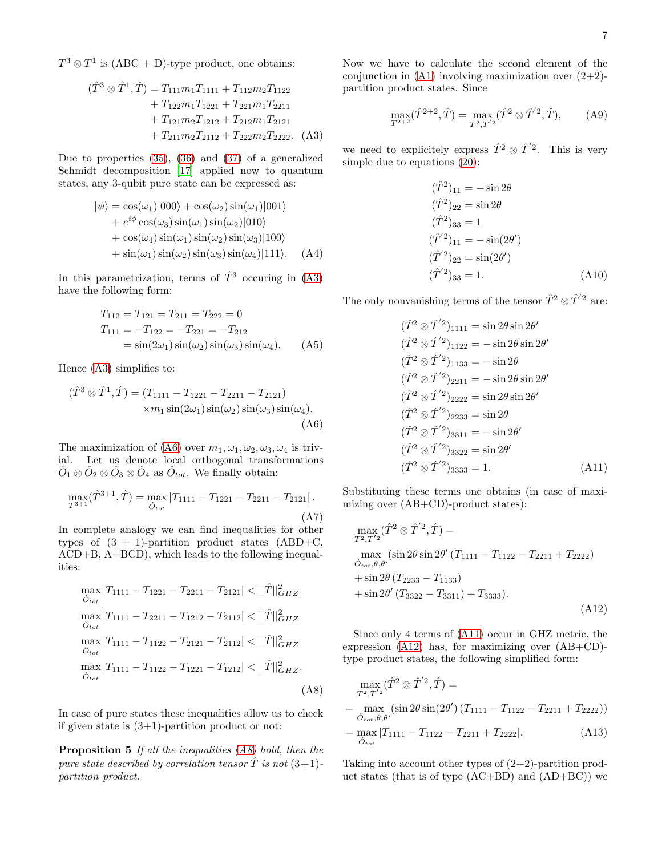$T^3 \otimes T^1$  is (ABC + D)-type product, one obtains:

<span id="page-6-0"></span>
$$
(\hat{T}^3 \otimes \hat{T}^1, \hat{T}) = T_{111}m_1T_{1111} + T_{112}m_2T_{1122} + T_{122}m_1T_{1221} + T_{221}m_1T_{2211} + T_{121}m_2T_{1212} + T_{212}m_1T_{2121} + T_{211}m_2T_{2112} + T_{222}m_2T_{2222}. (A3)
$$

Due to properties [\(35\)](#page-4-1), [\(36\)](#page-4-1) and [\(37\)](#page-4-1) of a generalized Schmidt decomposition [\[17\]](#page-8-10) applied now to quantum states, any 3-qubit pure state can be expressed as:

$$
|\psi\rangle = \cos(\omega_1)|000\rangle + \cos(\omega_2)\sin(\omega_1)|001\rangle
$$
  
+  $e^{i\phi}\cos(\omega_3)\sin(\omega_1)\sin(\omega_2)|010\rangle$   
+  $\cos(\omega_4)\sin(\omega_1)\sin(\omega_2)\sin(\omega_3)|100\rangle$   
+  $\sin(\omega_1)\sin(\omega_2)\sin(\omega_3)\sin(\omega_4)|111\rangle$ . (A4)

In this parametrization, terms of  $\hat{T}^3$  occuring in [\(A3\)](#page-6-0) have the following form:

$$
T_{112} = T_{121} = T_{211} = T_{222} = 0
$$
  
\n
$$
T_{111} = -T_{122} = -T_{221} = -T_{212}
$$
  
\n
$$
= \sin(2\omega_1)\sin(\omega_2)\sin(\omega_3)\sin(\omega_4).
$$
 (A5)

Hence [\(A3\)](#page-6-0) simplifies to:

<span id="page-6-1"></span>
$$
(\hat{T}^3 \otimes \hat{T}^1, \hat{T}) = (T_{1111} - T_{1221} - T_{2211} - T_{2121})
$$
  
× $m_1 \sin(2\omega_1) \sin(\omega_2) \sin(\omega_3) \sin(\omega_4)$ . (A6)

The maximization of [\(A6\)](#page-6-1) over  $m_1, \omega_1, \omega_2, \omega_3, \omega_4$  is trivial. Let us denote local orthogonal transformations  $\hat{O}_1 \otimes \hat{O}_2 \otimes \hat{O}_3 \otimes \hat{O}_4$  as  $\hat{O}_{tot}$ . We finally obtain:

$$
\max_{T^{3+1}} (\hat{T}^{3+1}, \hat{T}) = \max_{\hat{O}_{tot}} |T_{1111} - T_{1221} - T_{2211} - T_{2121}|.
$$
\n(A7)

In complete analogy we can find inequalities for other types of  $(3 + 1)$ -partition product states  $(ABD+C,$ ACD+B, A+BCD), which leads to the following inequalities:

<span id="page-6-2"></span>
$$
\max_{\hat{O}_{tot}} |T_{1111} - T_{1221} - T_{2211} - T_{2121}| < ||\hat{T}||_{GHZ}^2
$$
  
\n
$$
\max_{\hat{O}_{tot}} |T_{1111} - T_{2211} - T_{1212} - T_{2112}| < ||\hat{T}||_{GHZ}^2
$$
  
\n
$$
\max_{\hat{O}_{tot}} |T_{1111} - T_{1122} - T_{2121} - T_{2112}| < ||\hat{T}||_{GHZ}^2
$$
  
\n
$$
\max_{\hat{O}_{tot}} |T_{1111} - T_{1122} - T_{1221} - T_{1212}| < ||\hat{T}||_{GHZ}^2.
$$
  
\n(A8)

In case of pure states these inequalities allow us to check if given state is  $(3+1)$ -partition product or not:

Proposition 5 *If all the inequalities [\(A8\)](#page-6-2) hold, then the pure state described by correlation tensor*  $\hat{T}$  *is not*  $(3+1)$ *partition product.*

Now we have to calculate the second element of the conjunction in  $(A1)$  involving maximization over  $(2+2)$ partition product states. Since

$$
\max_{T^{2+2}}(\hat{T}^{2+2}, \hat{T}) = \max_{T^2, T^{'2}}(\hat{T}^2 \otimes \hat{T}^{'2}, \hat{T}), \quad (A9)
$$

we need to explicitely express  $\hat{T}^2 \otimes \hat{T}^2$ . This is very simple due to equations [\(20\)](#page-2-3):

$$
(\hat{T}^2)_{11} = -\sin 2\theta
$$
  
\n
$$
(\hat{T}^2)_{22} = \sin 2\theta
$$
  
\n
$$
(\hat{T}^2)_{33} = 1
$$
  
\n
$$
(\hat{T}^{'2})_{11} = -\sin(2\theta')
$$
  
\n
$$
(\hat{T}^{'2})_{22} = \sin(2\theta')
$$
  
\n
$$
(\hat{T}^{'2})_{33} = 1.
$$
\n(A10)

The only nonvanishing terms of the tensor  $\hat{T}^2\otimes\hat{T}^{'2}$  are:

<span id="page-6-3"></span>
$$
(\hat{T}^2 \otimes \hat{T}^{'2})_{1111} = \sin 2\theta \sin 2\theta'
$$
  
\n
$$
(\hat{T}^2 \otimes \hat{T}^{'2})_{1122} = -\sin 2\theta \sin 2\theta'
$$
  
\n
$$
(\hat{T}^2 \otimes \hat{T}^{'2})_{1133} = -\sin 2\theta
$$
  
\n
$$
(\hat{T}^2 \otimes \hat{T}^{'2})_{2211} = -\sin 2\theta \sin 2\theta'
$$
  
\n
$$
(\hat{T}^2 \otimes \hat{T}^{'2})_{2222} = \sin 2\theta \sin 2\theta'
$$
  
\n
$$
(\hat{T}^2 \otimes \hat{T}^{'2})_{2233} = \sin 2\theta
$$
  
\n
$$
(\hat{T}^2 \otimes \hat{T}^{'2})_{3311} = -\sin 2\theta'
$$
  
\n
$$
(\hat{T}^2 \otimes \hat{T}^{'2})_{3322} = \sin 2\theta'
$$
  
\n
$$
(\hat{T}^2 \otimes \hat{T}^{'2})_{3333} = 1.
$$
  
\n(A11)

Substituting these terms one obtains (in case of maximizing over (AB+CD)-product states):

<span id="page-6-4"></span>
$$
\max_{T^2, T^{'2}} (\hat{T}^2 \otimes \hat{T}'^2, \hat{T}) =
$$
\n
$$
\max_{\hat{O}_{tot}, \theta, \theta'} (\sin 2\theta \sin 2\theta' (T_{1111} - T_{1122} - T_{2211} + T_{2222})
$$
\n
$$
+ \sin 2\theta (T_{2233} - T_{1133})
$$
\n
$$
+ \sin 2\theta' (T_{3322} - T_{3311}) + T_{3333}).
$$
\n(A12)

Since only 4 terms of [\(A11\)](#page-6-3) occur in GHZ metric, the expression [\(A12\)](#page-6-4) has, for maximizing over (AB+CD) type product states, the following simplified form:

$$
\max_{T^2, T'^2} (\hat{T}^2 \otimes \hat{T}'^2, \hat{T}) =
$$
\n
$$
= \max_{\hat{O}_{tot}, \theta, \theta'} (\sin 2\theta \sin(2\theta') (T_{1111} - T_{1122} - T_{2211} + T_{2222}))
$$
\n
$$
= \max_{\hat{O}_{tot}} |T_{1111} - T_{1122} - T_{2211} + T_{2222}|.
$$
\n(A13)

Taking into account other types of  $(2+2)$ -partition product states (that is of type  $(AC+BD)$  and  $(AD+BC)$ ) we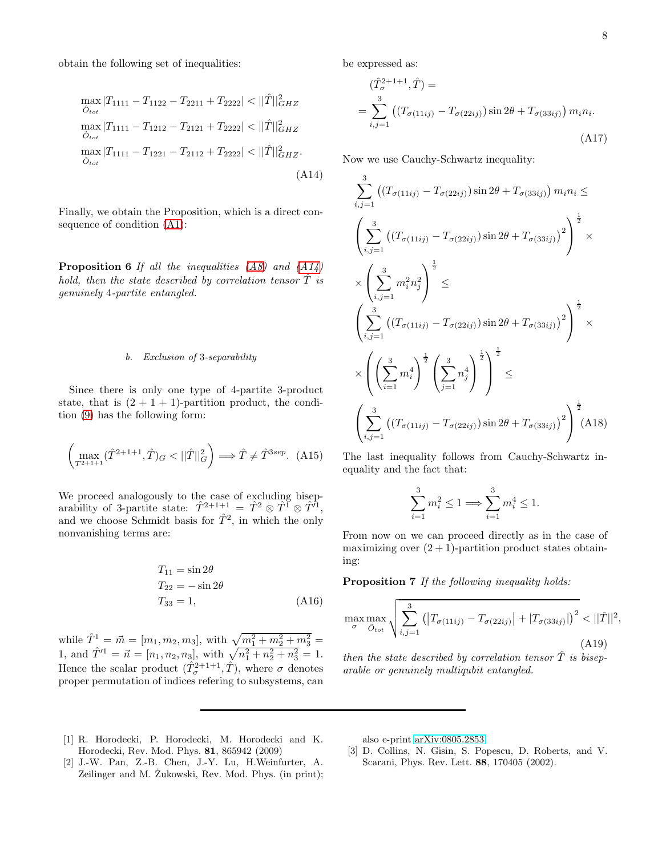obtain the following set of inequalities:

<span id="page-7-3"></span>
$$
\max_{\hat{O}_{tot}} |T_{1111} - T_{1122} - T_{2211} + T_{2222}| < ||\hat{T}||_{GHZ}^2
$$
  
\n
$$
\max_{\hat{O}_{tot}} |T_{1111} - T_{1212} - T_{2121} + T_{2222}| < ||\hat{T}||_{GHZ}^2
$$
  
\n
$$
\max_{\hat{O}_{tot}} |T_{1111} - T_{1221} - T_{2112} + T_{2222}| < ||\hat{T}||_{GHZ}^2.
$$
  
\n(A14)

Finally, we obtain the Proposition, which is a direct consequence of condition [\(A1\)](#page-5-1):

Proposition 6 *If all the inequalities [\(A8\)](#page-6-2) and [\(A14\)](#page-7-3) hold, then the state described by correlation tensor*  $\hat{T}$  *is genuinely* 4*-partite entangled.*

#### b. Exclusion of 3-separability

Since there is only one type of 4-partite 3-product state, that is  $(2 + 1 + 1)$ -partition product, the condition [\(9\)](#page-1-1) has the following form:

$$
\left(\max_{T^{2+1+1}} (\hat{T}^{2+1+1}, \hat{T})_G < ||\hat{T}||_G^2\right) \Longrightarrow \hat{T} \neq \hat{T}^{3sep}.\tag{A15}
$$

We proceed analogously to the case of excluding biseparability of 3-partite state:  $\hat{T}^{2+1+1} = \hat{T}^2 \otimes \hat{T}^1 \otimes \hat{T}^i$ , and we choose Schmidt basis for  $\hat{T}^2$ , in which the only nonvanishing terms are:

$$
T_{11} = \sin 2\theta
$$
  
\n
$$
T_{22} = -\sin 2\theta
$$
  
\n
$$
T_{33} = 1,
$$
  
\n(A16)

while  $\hat{T}^1 = \vec{m} = [m_1, m_2, m_3]$ , with  $\sqrt{m_1^2 + m_2^2 + m_3^2} =$ 1, and  $\hat{T}^{1} = \vec{n} = [n_1, n_2, n_3]$ , with  $\sqrt{n_1^2 + n_2^2 + n_3^2} = 1$ . Hence the scalar product  $(\hat{T}_{\sigma}^{2+1+1}, \hat{T})$ , where  $\sigma$  denotes proper permutation of indices refering to subsystems, can be expressed as:

$$
(\hat{T}_{\sigma}^{2+1+1}, \hat{T}) =
$$
  
= 
$$
\sum_{i,j=1}^{3} ((T_{\sigma(11ij)} - T_{\sigma(22ij)}) \sin 2\theta + T_{\sigma(33ij)}) m_i n_i.
$$
  
(A17)

Now we use Cauchy-Schwartz inequality:

$$
\sum_{i,j=1}^{3} ((T_{\sigma(11ij)} - T_{\sigma(22ij)}) \sin 2\theta + T_{\sigma(33ij)}) m_i n_i \le
$$
\n
$$
\left( \sum_{i,j=1}^{3} ((T_{\sigma(11ij)} - T_{\sigma(22ij)}) \sin 2\theta + T_{\sigma(33ij)})^2 \right)^{\frac{1}{2}} \times
$$
\n
$$
\times \left( \sum_{i,j=1}^{3} m_i^2 n_j^2 \right)^{\frac{1}{2}} \le
$$
\n
$$
\left( \sum_{i,j=1}^{3} ((T_{\sigma(11ij)} - T_{\sigma(22ij)}) \sin 2\theta + T_{\sigma(33ij)})^2 \right)^{\frac{1}{2}} \times
$$
\n
$$
\times \left( \left( \sum_{i=1}^{3} m_i^4 \right)^{\frac{1}{2}} \left( \sum_{j=1}^{3} n_j^4 \right)^{\frac{1}{2}} \right)^{\frac{1}{2}} \le
$$
\n
$$
\left( \sum_{i,j=1}^{3} ((T_{\sigma(11ij)} - T_{\sigma(22ij)}) \sin 2\theta + T_{\sigma(33ij)})^2 \right)^{\frac{1}{2}} (A18)
$$

The last inequality follows from Cauchy-Schwartz inequality and the fact that:

$$
\sum_{i=1}^{3} m_i^2 \le 1 \Longrightarrow \sum_{i=1}^{3} m_i^4 \le 1.
$$

From now on we can proceed directly as in the case of maximizing over  $(2 + 1)$ -partition product states obtaining:

Proposition 7 *If the following inequality holds:*

$$
\max_{\sigma} \max_{\hat{O}_{tot}} \sqrt{\sum_{i,j=1}^{3} (|T_{\sigma(11ij)} - T_{\sigma(22ij)}| + |T_{\sigma(33ij)}|)^{2}} < ||\hat{T}||^{2},
$$
\n(A19)

*then the state described by correlation tensor*  $\tilde{T}$  *is biseparable or genuinely multiqubit entangled.*

- <span id="page-7-0"></span>[1] R. Horodecki, P. Horodecki, M. Horodecki and K. Horodecki, Rev. Mod. Phys. 81, 865942 (2009)
- also e-print [arXiv:0805.2853.](http://arxiv.org/abs/0805.2853)
- <span id="page-7-2"></span>[3] D. Collins, N. Gisin, S. Popescu, D. Roberts, and V. Scarani, Phys. Rev. Lett. 88, 170405 (2002).
- <span id="page-7-1"></span>[2] J.-W. Pan, Z.-B. Chen, J.-Y. Lu, H.Weinfurter, A. Zeilinger and M. Zukowski, Rev. Mod. Phys. (in print);